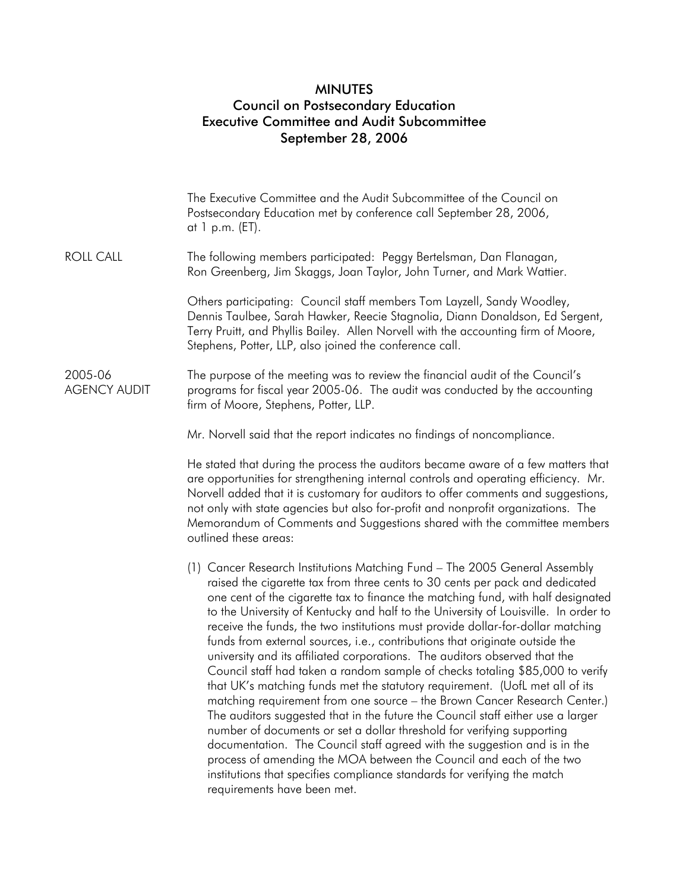## MINUTES Council on Postsecondary Education Executive Committee and Audit Subcommittee September 28, 2006

|                                | The Executive Committee and the Audit Subcommittee of the Council on<br>Postsecondary Education met by conference call September 28, 2006,<br>at 1 p.m. (ET).                                                                                                                                                                                                                                                                                                                                                                                                                                                                                                                                                                                                                                                                                                                                                                                                                                                                                                                                                                                                                                                                                                   |
|--------------------------------|-----------------------------------------------------------------------------------------------------------------------------------------------------------------------------------------------------------------------------------------------------------------------------------------------------------------------------------------------------------------------------------------------------------------------------------------------------------------------------------------------------------------------------------------------------------------------------------------------------------------------------------------------------------------------------------------------------------------------------------------------------------------------------------------------------------------------------------------------------------------------------------------------------------------------------------------------------------------------------------------------------------------------------------------------------------------------------------------------------------------------------------------------------------------------------------------------------------------------------------------------------------------|
| <b>ROLL CALL</b>               | The following members participated: Peggy Bertelsman, Dan Flanagan,<br>Ron Greenberg, Jim Skaggs, Joan Taylor, John Turner, and Mark Wattier.                                                                                                                                                                                                                                                                                                                                                                                                                                                                                                                                                                                                                                                                                                                                                                                                                                                                                                                                                                                                                                                                                                                   |
|                                | Others participating: Council staff members Tom Layzell, Sandy Woodley,<br>Dennis Taulbee, Sarah Hawker, Reecie Stagnolia, Diann Donaldson, Ed Sergent,<br>Terry Pruitt, and Phyllis Bailey. Allen Norvell with the accounting firm of Moore,<br>Stephens, Potter, LLP, also joined the conference call.                                                                                                                                                                                                                                                                                                                                                                                                                                                                                                                                                                                                                                                                                                                                                                                                                                                                                                                                                        |
| 2005-06<br><b>AGENCY AUDIT</b> | The purpose of the meeting was to review the financial audit of the Council's<br>programs for fiscal year 2005-06. The audit was conducted by the accounting<br>firm of Moore, Stephens, Potter, LLP.                                                                                                                                                                                                                                                                                                                                                                                                                                                                                                                                                                                                                                                                                                                                                                                                                                                                                                                                                                                                                                                           |
|                                | Mr. Norvell said that the report indicates no findings of noncompliance.                                                                                                                                                                                                                                                                                                                                                                                                                                                                                                                                                                                                                                                                                                                                                                                                                                                                                                                                                                                                                                                                                                                                                                                        |
|                                | He stated that during the process the auditors became aware of a few matters that<br>are opportunities for strengthening internal controls and operating efficiency. Mr.<br>Norvell added that it is customary for auditors to offer comments and suggestions,<br>not only with state agencies but also for-profit and nonprofit organizations. The<br>Memorandum of Comments and Suggestions shared with the committee members<br>outlined these areas:                                                                                                                                                                                                                                                                                                                                                                                                                                                                                                                                                                                                                                                                                                                                                                                                        |
|                                | (1) Cancer Research Institutions Matching Fund - The 2005 General Assembly<br>raised the cigarette tax from three cents to 30 cents per pack and dedicated<br>one cent of the cigarette tax to finance the matching fund, with half designated<br>to the University of Kentucky and half to the University of Louisville. In order to<br>receive the funds, the two institutions must provide dollar-for-dollar matching<br>funds from external sources, i.e., contributions that originate outside the<br>university and its affiliated corporations. The auditors observed that the<br>Council staff had taken a random sample of checks totaling \$85,000 to verify<br>that UK's matching funds met the statutory requirement. (UofL met all of its<br>matching requirement from one source - the Brown Cancer Research Center.)<br>The auditors suggested that in the future the Council staff either use a larger<br>number of documents or set a dollar threshold for verifying supporting<br>documentation. The Council staff agreed with the suggestion and is in the<br>process of amending the MOA between the Council and each of the two<br>institutions that specifies compliance standards for verifying the match<br>requirements have been met. |